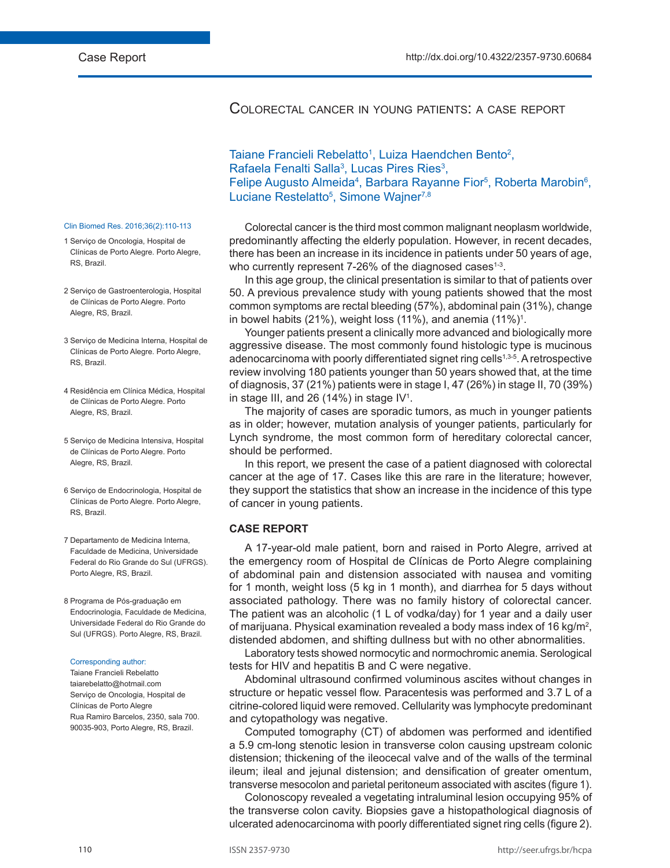# Colorectal cancer in young patients: a case report

# Taiane Francieli Rebelatto<sup>1</sup>, Luiza Haendchen Bento<sup>2</sup>, Rafaela Fenalti Salla<sup>3</sup>, Lucas Pires Ries<sup>3</sup>, Felipe Augusto Almeida<sup>4</sup>, Barbara Rayanne Fior<sup>5</sup>, Roberta Marobin<sup>6</sup>, Luciane Restelatto<sup>5</sup>, Simone Wajner<sup>7,8</sup>

Colorectal cancer is the third most common malignant neoplasm worldwide, predominantly affecting the elderly population. However, in recent decades, there has been an increase in its incidence in patients under 50 years of age, who currently represent 7-26% of the diagnosed cases<sup>1-3</sup>.

In this age group, the clinical presentation is similar to that of patients over 50. A previous prevalence study with young patients showed that the most common symptoms are rectal bleeding (57%), abdominal pain (31%), change in bowel habits (21%), weight loss (11%), and anemia (11%)<sup>1</sup>.

Younger patients present a clinically more advanced and biologically more aggressive disease. The most commonly found histologic type is mucinous adenocarcinoma with poorly differentiated signet ring cells1,3-5. A retrospective review involving 180 patients younger than 50 years showed that, at the time of diagnosis, 37 (21%) patients were in stage I, 47 (26%) in stage II, 70 (39%) in stage III, and 26 (14%) in stage IV<sup>1</sup>.

The majority of cases are sporadic tumors, as much in younger patients as in older; however, mutation analysis of younger patients, particularly for Lynch syndrome, the most common form of hereditary colorectal cancer, should be performed.

In this report, we present the case of a patient diagnosed with colorectal cancer at the age of 17. Cases like this are rare in the literature; however, they support the statistics that show an increase in the incidence of this type of cancer in young patients.

## **CASE REPORT**

A 17-year-old male patient, born and raised in Porto Alegre, arrived at the emergency room of Hospital de Clínicas de Porto Alegre complaining of abdominal pain and distension associated with nausea and vomiting for 1 month, weight loss (5 kg in 1 month), and diarrhea for 5 days without associated pathology. There was no family history of colorectal cancer. The patient was an alcoholic (1 L of vodka/day) for 1 year and a daily user of marijuana. Physical examination revealed a body mass index of 16 kg/m<sup>2</sup>, distended abdomen, and shifting dullness but with no other abnormalities.

Laboratory tests showed normocytic and normochromic anemia. Serological tests for HIV and hepatitis B and C were negative.

Abdominal ultrasound confirmed voluminous ascites without changes in structure or hepatic vessel flow. Paracentesis was performed and 3.7 L of a citrine-colored liquid were removed. Cellularity was lymphocyte predominant and cytopathology was negative.

Computed tomography (CT) of abdomen was performed and identified a 5.9 cm-long stenotic lesion in transverse colon causing upstream colonic distension; thickening of the ileocecal valve and of the walls of the terminal ileum; ileal and jejunal distension; and densification of greater omentum, transverse mesocolon and parietal peritoneum associated with ascites (figure 1).

Colonoscopy revealed a vegetating intraluminal lesion occupying 95% of the transverse colon cavity. Biopsies gave a histopathological diagnosis of ulcerated adenocarcinoma with poorly differentiated signet ring cells (figure 2).

### Clin Biomed Res. 2016;36(2):110-113

- 1 Serviço de Oncologia, Hospital de Clínicas de Porto Alegre. Porto Alegre, RS, Brazil.
- 2 Serviço de Gastroenterologia, Hospital de Clínicas de Porto Alegre. Porto Alegre, RS, Brazil.
- 3 Serviço de Medicina Interna, Hospital de Clínicas de Porto Alegre. Porto Alegre, RS, Brazil.
- 4 Residência em Clínica Médica, Hospital de Clínicas de Porto Alegre. Porto Alegre, RS, Brazil.
- 5 Serviço de Medicina Intensiva, Hospital de Clínicas de Porto Alegre. Porto Alegre, RS, Brazil.
- 6 Serviço de Endocrinologia, Hospital de Clínicas de Porto Alegre. Porto Alegre, RS, Brazil.
- 7 Departamento de Medicina Interna, Faculdade de Medicina, Universidade Federal do Rio Grande do Sul (UFRGS). Porto Alegre, RS, Brazil.
- 8 Programa de Pós-graduação em Endocrinologia, Faculdade de Medicina, Universidade Federal do Rio Grande do Sul (UFRGS). Porto Alegre, RS, Brazil.

#### Corresponding author:

Taiane Francieli Rebelatto taiarebelatto@hotmail.com Serviço de Oncologia, Hospital de Clínicas de Porto Alegre Rua Ramiro Barcelos, 2350, sala 700. 90035-903, Porto Alegre, RS, Brazil.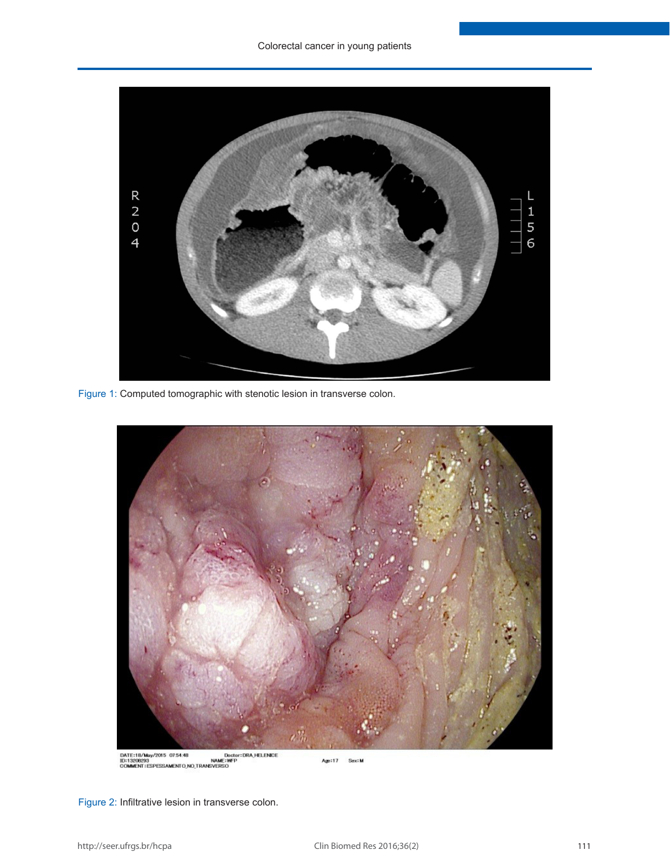

Figure 1: Computed tomographic with stenotic lesion in transverse colon.



DATE:18/May/2015 07:54:48 Dector:DRA,HELENDE<br>ID:13208283 NAME:WFP<br>COMMENT:ESPESSAMENTO\_NO\_TRANSVERSO

Age:17 Sex: M

Figure 2: Infiltrative lesion in transverse colon.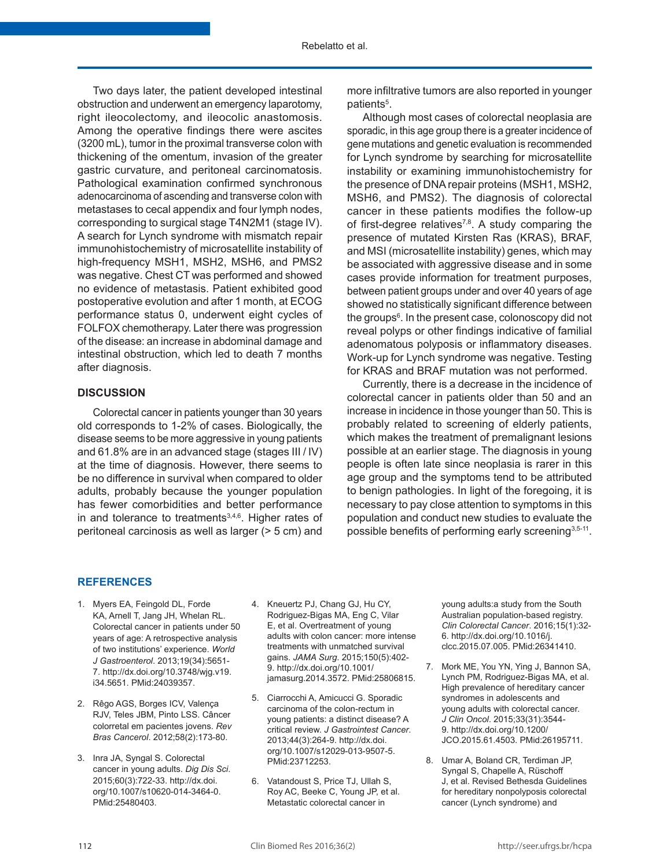Two days later, the patient developed intestinal obstruction and underwent an emergency laparotomy, right ileocolectomy, and ileocolic anastomosis. Among the operative findings there were ascites (3200 mL), tumor in the proximal transverse colon with thickening of the omentum, invasion of the greater gastric curvature, and peritoneal carcinomatosis. Pathological examination confirmed synchronous adenocarcinoma of ascending and transverse colon with metastases to cecal appendix and four lymph nodes, corresponding to surgical stage T4N2M1 (stage IV). A search for Lynch syndrome with mismatch repair immunohistochemistry of microsatellite instability of high-frequency MSH1, MSH2, MSH6, and PMS2 was negative. Chest CT was performed and showed no evidence of metastasis. Patient exhibited good postoperative evolution and after 1 month, at ECOG performance status 0, underwent eight cycles of FOLFOX chemotherapy. Later there was progression of the disease: an increase in abdominal damage and intestinal obstruction, which led to death 7 months after diagnosis.

## **DISCUSSION**

Colorectal cancer in patients younger than 30 years old corresponds to 1-2% of cases. Biologically, the disease seems to be more aggressive in young patients and 61.8% are in an advanced stage (stages III / IV) at the time of diagnosis. However, there seems to be no difference in survival when compared to older adults, probably because the younger population has fewer comorbidities and better performance in and tolerance to treatments<sup>3,4,6</sup>. Higher rates of peritoneal carcinosis as well as larger (> 5 cm) and

more infiltrative tumors are also reported in younger patients<sup>5</sup>.

Although most cases of colorectal neoplasia are sporadic, in this age group there is a greater incidence of gene mutations and genetic evaluation is recommended for Lynch syndrome by searching for microsatellite instability or examining immunohistochemistry for the presence of DNA repair proteins (MSH1, MSH2, MSH6, and PMS2). The diagnosis of colorectal cancer in these patients modifies the follow-up of first-degree relatives<sup>7,8</sup>. A study comparing the presence of mutated Kirsten Ras (KRAS), BRAF, and MSI (microsatellite instability) genes, which may be associated with aggressive disease and in some cases provide information for treatment purposes, between patient groups under and over 40 years of age showed no statistically significant difference between the groups6 . In the present case, colonoscopy did not reveal polyps or other findings indicative of familial adenomatous polyposis or inflammatory diseases. Work-up for Lynch syndrome was negative. Testing for KRAS and BRAF mutation was not performed.

Currently, there is a decrease in the incidence of colorectal cancer in patients older than 50 and an increase in incidence in those younger than 50. This is probably related to screening of elderly patients, which makes the treatment of premalignant lesions possible at an earlier stage. The diagnosis in young people is often late since neoplasia is rarer in this age group and the symptoms tend to be attributed to benign pathologies. In light of the foregoing, it is necessary to pay close attention to symptoms in this population and conduct new studies to evaluate the possible benefits of performing early screening<sup>3,5-11</sup>.

## **REFERENCES**

- 1. Myers EA, Feingold DL, Forde KA, Arnell T, Jang JH, Whelan RL. Colorectal cancer in patients under 50 years of age: A retrospective analysis of two institutions' experience. *World J Gastroenterol*. 2013;19(34):5651- 7. [http://dx.doi.org/10.3748/wjg.v19.](http://dx.doi.org/10.3748/wjg.v19.i34.5651) [i34.5651.](http://dx.doi.org/10.3748/wjg.v19.i34.5651) [PMid:24039357.](http://www.ncbi.nlm.nih.gov/entrez/query.fcgi?cmd=Retrieve&db=PubMed&list_uids=24039357&dopt=Abstract)
- 2. Rêgo AGS, Borges ICV, Valença RJV, Teles JBM, Pinto LSS. Câncer colorretal em pacientes jovens. *Rev Bras Cancerol*. 2012;58(2):173-80.
- 3. Inra JA, Syngal S. Colorectal cancer in young adults. *Dig Dis Sci*. 2015;60(3):722-33. [http://dx.doi.](http://dx.doi.org/10.1007/s10620-014-3464-0) [org/10.1007/s10620-014-3464-0.](http://dx.doi.org/10.1007/s10620-014-3464-0) [PMid:25480403.](http://www.ncbi.nlm.nih.gov/entrez/query.fcgi?cmd=Retrieve&db=PubMed&list_uids=25480403&dopt=Abstract)
- 4. Kneuertz PJ, Chang GJ, Hu CY, Rodriguez-Bigas MA, Eng C, Vilar E, et al. Overtreatment of young adults with colon cancer: more intense treatments with unmatched survival gains. *JAMA Surg*. 2015;150(5):402- 9. [http://dx.doi.org/10.1001/](http://dx.doi.org/10.1001/jamasurg.2014.3572) [jamasurg.2014.3572](http://dx.doi.org/10.1001/jamasurg.2014.3572). [PMid:25806815.](http://www.ncbi.nlm.nih.gov/entrez/query.fcgi?cmd=Retrieve&db=PubMed&list_uids=25806815&dopt=Abstract)
- 5. Ciarrocchi A, Amicucci G. Sporadic carcinoma of the colon-rectum in young patients: a distinct disease? A critical review. *J Gastrointest Cancer*. 2013;44(3):264-9. [http://dx.doi.](http://dx.doi.org/10.1007/s12029-013-9507-5) [org/10.1007/s12029-013-9507-5](http://dx.doi.org/10.1007/s12029-013-9507-5)[.](http://www.ncbi.nlm.nih.gov/entrez/query.fcgi?cmd=Retrieve&db=PubMed&list_uids=23712253&dopt=Abstract) [PMid:23712253.](http://www.ncbi.nlm.nih.gov/entrez/query.fcgi?cmd=Retrieve&db=PubMed&list_uids=23712253&dopt=Abstract)
- 6. Vatandoust S, Price TJ, Ullah S, Roy AC, Beeke C, Young JP, et al. Metastatic colorectal cancer in

young adults:a study from the South Australian population-based registry. *Clin Colorectal Cancer*. 2016;15(1):32- 6. [http://dx.doi.org/10.1016/j.](http://dx.doi.org/10.1016/j.clcc.2015.07.005) [clcc.2015.07.005](http://dx.doi.org/10.1016/j.clcc.2015.07.005). [PMid:26341410.](http://www.ncbi.nlm.nih.gov/entrez/query.fcgi?cmd=Retrieve&db=PubMed&list_uids=26341410&dopt=Abstract)

- 7. Mork ME, You YN, Ying J, Bannon SA, Lynch PM, Rodriguez-Bigas MA, et al. High prevalence of hereditary cancer syndromes in adolescents and young adults with colorectal cancer. *J Clin Oncol*. 2015;33(31):3544- 9. [http://dx.doi.org/10.1200/](http://dx.doi.org/10.1200/JCO.2015.61.4503) [JCO.2015.61.4503](http://dx.doi.org/10.1200/JCO.2015.61.4503)[. PMid:26195711.](http://www.ncbi.nlm.nih.gov/entrez/query.fcgi?cmd=Retrieve&db=PubMed&list_uids=26195711&dopt=Abstract)
- 8. Umar A, Boland CR, Terdiman JP, Syngal S, Chapelle A, Rüschoff J, et al. Revised Bethesda Guidelines for hereditary nonpolyposis colorectal cancer (Lynch syndrome) and